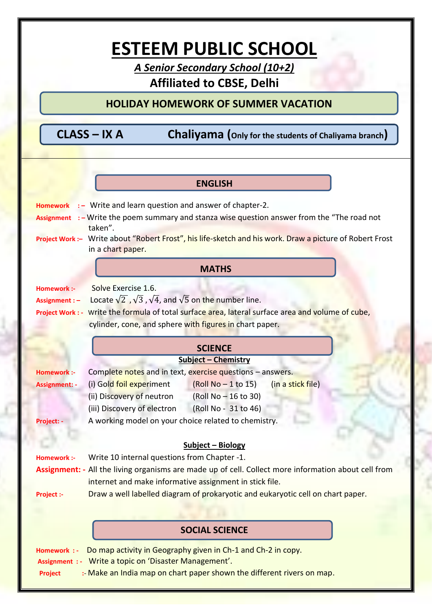## **ESTEEM PUBLIC SCHOOL**

*A Senior Secondary School (10+2)* **Affiliated to CBSE, Delhi**

## **HOLIDAY HOMEWORK OF SUMMER VACATION**

 **CLASS – IX A Chaliyama (Only for the students of Chaliyama branch)**

## **MATHS ENGLISH Homework** : – Write and learn question and answer of chapter-2. **Assignment** : – Write the poem summary and stanza wise question answer from the "The road not taken". **Project Work :–** Write about "Robert Frost", his life-sketch and his work. Draw a picture of Robert Frost in a chart paper. **Homework :-** Solve Exercise 1.6. **Assignment** :  $-$  Locate  $\sqrt{2}$ ,  $\sqrt{3}$ ,  $\sqrt{4}$ , and  $\sqrt{5}$  on the number line. **Project Work : -** Write the formula of total surface area, lateral surface area and volume of cube, cylinder, cone, and sphere with figures in chart paper. **SCIENCE Subject – Chemistry** Homework :- Complete notes and in text, exercise questions – answers. Assignment: **4** (i) Gold foil experiment (Roll No – 1 to 15) (in a stick file) (ii) Discovery of neutron  $(RolN<sub>0</sub> - 16 to 30)$ (iii) Discovery of electron (Roll No - 31 to 46) **Project: -** A working model on your choice related to chemistry. **Subject – Biology Homework :-** Write 10 internal questions from Chapter -1. **Assignment: -** All the living organisms are made up of cell. Collect more information about cell from internet and make informative assignment in stick file. **Project :-** Draw a well labelled diagram of prokaryotic and eukaryotic cell on chart paper. **SOCIAL SCIENCE Homework : -** Do map activity in Geography given in Ch-1 and Ch-2 in copy. **Assignment : -** Write a topic on 'Disaster Management'. **Project** :- Make an India map on chart paper shown the different rivers on map.